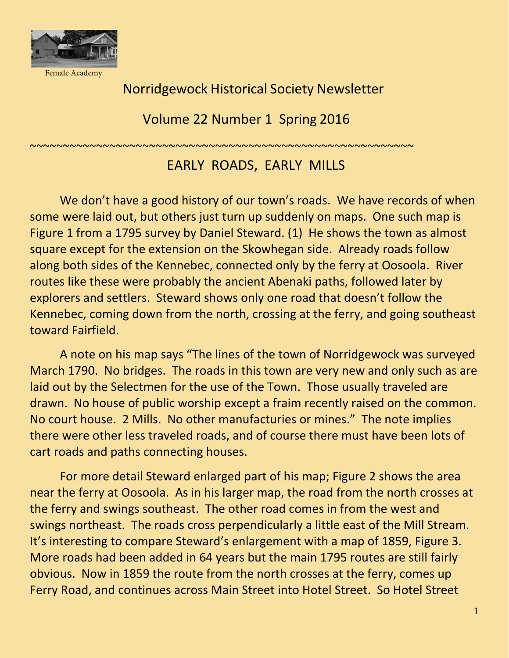

Female Academy

## Norridgewock Historical Society Newsletter

Volume 22 Number 1 Spring 2016

## ~~~~~~~~~~~~~~~~~~~~~~~~~~~~~~~~~~~~~~~~~~~~~~~~~~~~~~~~~~

## EARLY ROADS, EARLY MILLS

We don't have a good history of our town's roads. We have records of when some were laid out, but others just turn up suddenly on maps. One such map is Figure 1 from a 1795 survey by Daniel Steward. (1) He shows the town as almost square except for the extension on the Skowhegan side. Already roads follow along both sides of the Kennebec, connected only by the ferry at Oosoola. River routes like these were probably the ancient Abenaki paths, followed later by explorers and settlers. Steward shows only one road that doesn't follow the Kennebec, coming down from the north, crossing at the ferry, and going southeast toward Fairfield.

A note on his map says "The lines of the town of Norridgewock was surveyed March 1790. No bridges. The roads in this town are very new and only such as are laid out by the Selectmen for the use of the Town. Those usually traveled are drawn. No house of public worship except a fraim recently raised on the common. No court house. 2 Mills. No other manufacturies or mines." The note implies there were other less traveled roads, and of course there must have been lots of cart roads and paths connecting houses.

For more detail Steward enlarged part of his map; Figure 2 shows the area near the ferry at Oosoola. As in his larger map, the road from the north crosses at the ferry and swings southeast. The other road comes in from the west and swings northeast. The roads cross perpendicularly a little east of the Mill Stream. It's interesting to compare Steward's enlargement with a map of 1859, Figure 3. More roads had been added in 64 years but the main 1795 routes are still fairly obvious. Now in 1859 the route from the north crosses at the ferry, comes up Ferry Road, and continues across Main Street into Hotel Street. So Hotel Street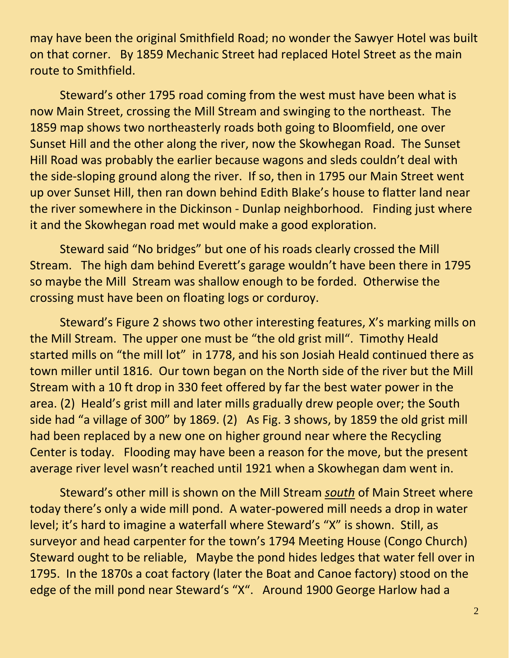may have been the original Smithfield Road; no wonder the Sawyer Hotel was built on that corner. By 1859 Mechanic Street had replaced Hotel Street as the main route to Smithfield.

Steward's other 1795 road coming from the west must have been what is now Main Street, crossing the Mill Stream and swinging to the northeast. The 1859 map shows two northeasterly roads both going to Bloomfield, one over Sunset Hill and the other along the river, now the Skowhegan Road. The Sunset Hill Road was probably the earlier because wagons and sleds couldn't deal with the side-sloping ground along the river. If so, then in 1795 our Main Street went up over Sunset Hill, then ran down behind Edith Blake's house to flatter land near the river somewhere in the Dickinson - Dunlap neighborhood. Finding just where it and the Skowhegan road met would make a good exploration.

Steward said "No bridges" but one of his roads clearly crossed the Mill Stream. The high dam behind Everett's garage wouldn't have been there in 1795 so maybe the Mill Stream was shallow enough to be forded. Otherwise the crossing must have been on floating logs or corduroy.

Steward's Figure 2 shows two other interesting features, X's marking mills on the Mill Stream. The upper one must be "the old grist mill". Timothy Heald started mills on "the mill lot" in 1778, and his son Josiah Heald continued there as town miller until 1816. Our town began on the North side of the river but the Mill Stream with a 10 ft drop in 330 feet offered by far the best water power in the area. (2) Heald's grist mill and later mills gradually drew people over; the South side had "a village of 300" by 1869. (2) As Fig. 3 shows, by 1859 the old grist mill had been replaced by a new one on higher ground near where the Recycling Center is today. Flooding may have been a reason for the move, but the present average river level wasn't reached until 1921 when a Skowhegan dam went in.

Steward's other mill is shown on the Mill Stream *south* of Main Street where today there's only a wide mill pond. A water-powered mill needs a drop in water level; it's hard to imagine a waterfall where Steward's "X" is shown. Still, as surveyor and head carpenter for the town's 1794 Meeting House (Congo Church) Steward ought to be reliable, Maybe the pond hides ledges that water fell over in 1795. In the 1870s a coat factory (later the Boat and Canoe factory) stood on the edge of the mill pond near Steward's "X". Around 1900 George Harlow had a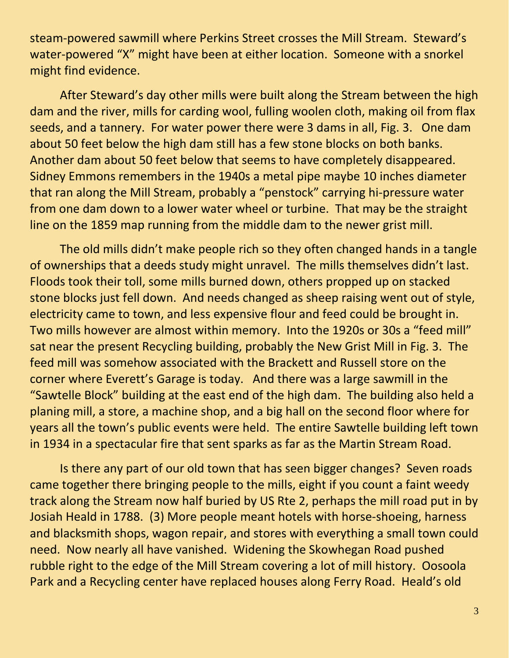steam-powered sawmill where Perkins Street crosses the Mill Stream. Steward's water-powered "X" might have been at either location. Someone with a snorkel might find evidence.

After Steward's day other mills were built along the Stream between the high dam and the river, mills for carding wool, fulling woolen cloth, making oil from flax seeds, and a tannery. For water power there were 3 dams in all, Fig. 3. One dam about 50 feet below the high dam still has a few stone blocks on both banks. Another dam about 50 feet below that seems to have completely disappeared. Sidney Emmons remembers in the 1940s a metal pipe maybe 10 inches diameter that ran along the Mill Stream, probably a "penstock" carrying hi-pressure water from one dam down to a lower water wheel or turbine. That may be the straight line on the 1859 map running from the middle dam to the newer grist mill.

The old mills didn't make people rich so they often changed hands in a tangle of ownerships that a deeds study might unravel. The mills themselves didn't last. Floods took their toll, some mills burned down, others propped up on stacked stone blocks just fell down. And needs changed as sheep raising went out of style, electricity came to town, and less expensive flour and feed could be brought in. Two mills however are almost within memory. Into the 1920s or 30s a "feed mill" sat near the present Recycling building, probably the New Grist Mill in Fig. 3. The feed mill was somehow associated with the Brackett and Russell store on the corner where Everett's Garage is today. And there was a large sawmill in the "Sawtelle Block" building at the east end of the high dam. The building also held a planing mill, a store, a machine shop, and a big hall on the second floor where for years all the town's public events were held. The entire Sawtelle building left town in 1934 in a spectacular fire that sent sparks as far as the Martin Stream Road.

Is there any part of our old town that has seen bigger changes? Seven roads came together there bringing people to the mills, eight if you count a faint weedy track along the Stream now half buried by US Rte 2, perhaps the mill road put in by Josiah Heald in 1788. (3) More people meant hotels with horse-shoeing, harness and blacksmith shops, wagon repair, and stores with everything a small town could need. Now nearly all have vanished. Widening the Skowhegan Road pushed rubble right to the edge of the Mill Stream covering a lot of mill history. Oosoola Park and a Recycling center have replaced houses along Ferry Road. Heald's old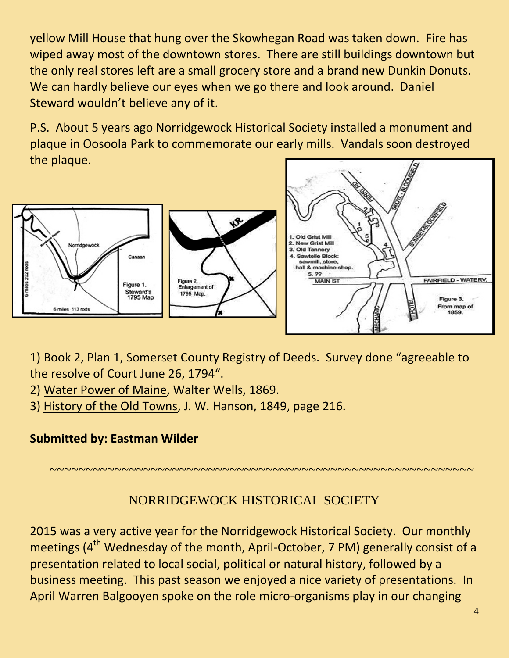yellow Mill House that hung over the Skowhegan Road was taken down. Fire has wiped away most of the downtown stores. There are still buildings downtown but the only real stores left are a small grocery store and a brand new Dunkin Donuts. We can hardly believe our eyes when we go there and look around. Daniel Steward wouldn't believe any of it.

P.S. About 5 years ago Norridgewock Historical Society installed a monument and plaque in Oosoola Park to commemorate our early mills. Vandals soon destroyed the plaque.



1) Book 2, Plan 1, Somerset County Registry of Deeds. Survey done "agreeable to the resolve of Court June 26, 1794".

2) Water Power of Maine, Walter Wells, 1869.

3) History of the Old Towns, J. W. Hanson, 1849, page 216.

## **Submitted by: Eastman Wilder**

NORRIDGEWOCK HISTORICAL SOCIETY

~~~~~~~~~~~~~~~~~~~~~~~~~~~~~~~~~~~~~~~~~~~~~~~~~~~~~~~~~~~

2015 was a very active year for the Norridgewock Historical Society. Our monthly meetings ( $4<sup>th</sup>$  Wednesday of the month, April-October, 7 PM) generally consist of a presentation related to local social, political or natural history, followed by a business meeting. This past season we enjoyed a nice variety of presentations. In April Warren Balgooyen spoke on the role micro-organisms play in our changing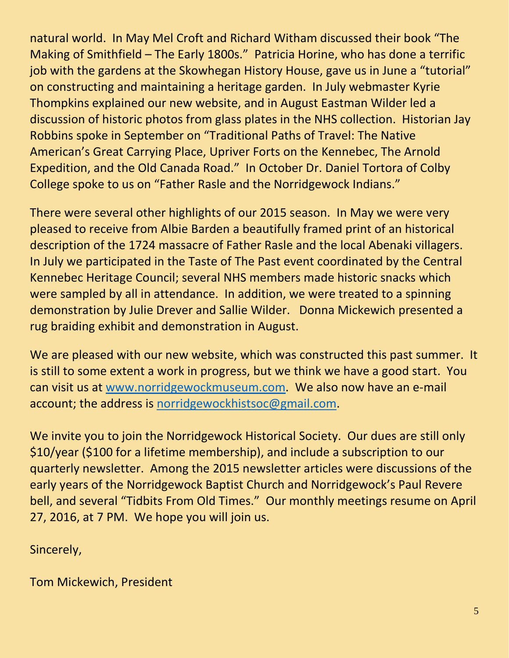natural world. In May Mel Croft and Richard Witham discussed their book "The Making of Smithfield – The Early 1800s." Patricia Horine, who has done a terrific job with the gardens at the Skowhegan History House, gave us in June a "tutorial" on constructing and maintaining a heritage garden. In July webmaster Kyrie Thompkins explained our new website, and in August Eastman Wilder led a discussion of historic photos from glass plates in the NHS collection. Historian Jay Robbins spoke in September on "Traditional Paths of Travel: The Native American's Great Carrying Place, Upriver Forts on the Kennebec, The Arnold Expedition, and the Old Canada Road." In October Dr. Daniel Tortora of Colby College spoke to us on "Father Rasle and the Norridgewock Indians."

There were several other highlights of our 2015 season. In May we were very pleased to receive from Albie Barden a beautifully framed print of an historical description of the 1724 massacre of Father Rasle and the local Abenaki villagers. In July we participated in the Taste of The Past event coordinated by the Central Kennebec Heritage Council; several NHS members made historic snacks which were sampled by all in attendance. In addition, we were treated to a spinning demonstration by Julie Drever and Sallie Wilder. Donna Mickewich presented a rug braiding exhibit and demonstration in August.

We are pleased with our new website, which was constructed this past summer. It is still to some extent a work in progress, but we think we have a good start. You can visit us at [www.norridgewockmuseum.com.](http://www.norridgewockmuseum.com/) We also now have an e-mail account; the address is [norridgewockhistsoc@gmail.com.](mailto:norridgewockhistsoc@gmail.com)

We invite you to join the Norridgewock Historical Society. Our dues are still only \$10/year (\$100 for a lifetime membership), and include a subscription to our quarterly newsletter. Among the 2015 newsletter articles were discussions of the early years of the Norridgewock Baptist Church and Norridgewock's Paul Revere bell, and several "Tidbits From Old Times." Our monthly meetings resume on April 27, 2016, at 7 PM. We hope you will join us.

Sincerely,

Tom Mickewich, President